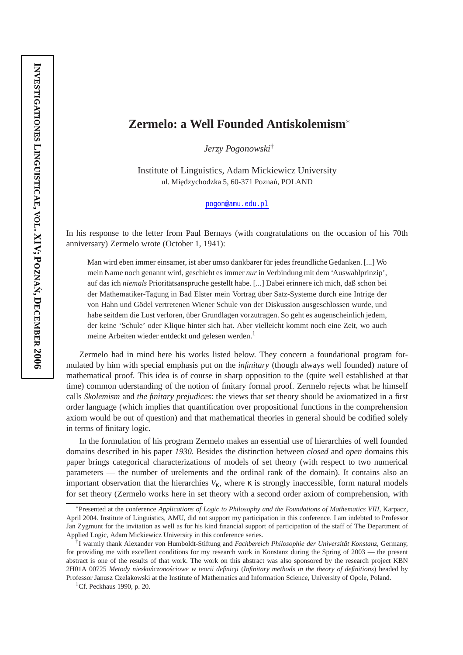## **Zermelo: a Well Founded Antiskolemism**<sup>∗</sup>

*Jerzy Pogonowski*†

Institute of Linguistics, Adam Mickiewicz University ul. Międzychodzka 5, 60-371 Poznań, POLAND

pogon@amu.edu.pl

In his response to the letter from Paul Bernays (with congratulations on the occasion of his 70th anniversary) Zermelo wrote (October 1, 1941):

Man wird eben immer einsamer, ist aber umso dankbarer für jedes freundliche Gedanken. [...] Wo mein Name noch genannt wird, geschieht es immer *nur* in Verbindung mit dem 'Auswahlprinzip', auf das ich *niemals* Prioritätsanspruche gestellt habe. [...] Dabei erinnere ich mich, daß schon bei der Mathematiker-Tagung in Bad Elster mein Vortrag über Satz-Systeme durch eine Intrige der von Hahn und Gödel vertretenen Wiener Schule von der Diskussion ausgeschlossen wurde, und habe seitdem die Lust verloren, über Grundlagen vorzutragen. So geht es augenscheinlich jedem, der keine 'Schule' oder Klique hinter sich hat. Aber vielleicht kommt noch eine Zeit, wo auch meine Arbeiten wieder entdeckt und gelesen werden.<sup>1</sup>

Zermelo had in mind here his works listed below. They concern a foundational program formulated by him with special emphasis put on the *infinitary* (though always well founded) nature of mathematical proof. This idea is of course in sharp opposition to the (quite well established at that time) common uderstanding of the notion of finitary formal proof. Zermelo rejects what he himself calls *Skolemism* and *the finitary prejudices*: the views that set theory should be axiomatized in a first order language (which implies that quantification over propositional functions in the comprehension axiom would be out of question) and that mathematical theories in general should be codified solely in terms of finitary logic.

In the formulation of his program Zermelo makes an essential use of hierarchies of well founded domains described in his paper *1930*. Besides the distinction between *closed* and *open* domains this paper brings categorical characterizations of models of set theory (with respect to two numerical parameters — the number of urelements and the ordinal rank of the domain). It contains also an important observation that the hierarchies  $V_k$ , where  $\kappa$  is strongly inaccessible, form natural models for set theory (Zermelo works here in set theory with a second order axiom of comprehension, with

<sup>∗</sup>Presented at the conference *Applications of Logic to Philosophy and the Foundations of Mathematics VIII*, Karpacz, April 2004. Institute of Linguistics, AMU, did not support my participation in this conference. I am indebted to Professor Jan Zygmunt for the invitation as well as for his kind financial support of participation of the staff of The Department of Applied Logic, Adam Mickiewicz University in this conference series.

<sup>†</sup> I warmly thank Alexander von Humboldt-Stiftung and *Fachbereich Philosophie der Universität Konstanz*, Germany, for providing me with excellent conditions for my research work in Konstanz during the Spring of 2003 — the present abstract is one of the results of that work. The work on this abstract was also sponsored by the research project KBN 2H01A 00725 *Metody niesko´nczono´sciowe w teorii definicji* (*Infinitary methods in the theory of definitions*) headed by Professor Janusz Czelakowski at the Institute of Mathematics and Information Science, University of Opole, Poland.

<sup>&</sup>lt;sup>1</sup>Cf. Peckhaus 1990, p. 20.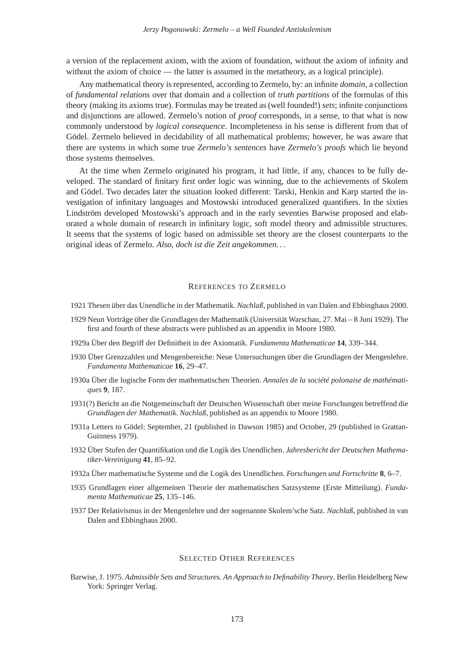a version of the replacement axiom, with the axiom of foundation, without the axiom of infinity and without the axiom of choice — the latter is assumed in the metatheory, as a logical principle).

Any mathematical theory is represented, according to Zermelo, by: an infinite *domain*, a collection of *fundamental relations* over that domain and a collection of *truth partitions* of the formulas of this theory (making its axioms true). Formulas may be treated as (well founded!) *sets*; infinite conjunctions and disjunctions are allowed. Zermelo's notion of *proof* corresponds, in a sense, to that what is now commonly understood by *logical consequence*. Incompleteness in his sense is different from that of Gödel. Zermelo believed in decidability of all mathematical problems; however, he was aware that there are systems in which some true *Zermelo's sentences* have *Zermelo's proofs* which lie beyond those systems themselves.

At the time when Zermelo originated his program, it had little, if any, chances to be fully developed. The standard of finitary first order logic was winning, due to the achievements of Skolem and Gödel. Two decades later the situation looked different: Tarski, Henkin and Karp started the investigation of infinitary languages and Mostowski introduced generalized quantifiers. In the sixties Lindström developed Mostowski's approach and in the early seventies Barwise proposed and elaborated a whole domain of research in infinitary logic, soft model theory and admissible structures. It seems that the systems of logic based on admissible set theory are the closest counterparts to the original ideas of Zermelo. *Also, doch ist die Zeit angekommen. . .*

## REFERENCES TO ZERMELO

- 1921 Thesen über das Unendliche in der Mathematik. *Nachlaß*, published in van Dalen and Ebbinghaus 2000.
- 1929 Neun Vorträge über die Grundlagen der Mathematik (Universität Warschau, 27. Mai 8 Juni 1929). The first and fourth of these abstracts were published as an appendix in Moore 1980.
- 1929a Über den Begriff der Definitheit in der Axiomatik. *Fundamenta Mathematicae* **14**, 339–344.
- 1930 Über Grenzzahlen und Mengenbereiche: Neue Untersuchungen über die Grundlagen der Mengenlehre. *Fundamenta Mathematicae* **16**, 29–47.
- 1930a Über die logische Form der mathematischen Theorien. *Annales de la société polonaise de mathématiques* **9**, 187.
- 1931(?) Bericht an die Notgemeinschaft der Deutschen Wissenschaft über meine Forschungen betreffend die *Grundlagen der Mathematik*. *Nachlaß*, published as an appendix to Moore 1980.
- 1931a Letters to Gödel: September, 21 (published in Dawson 1985) and October, 29 (published in Grattan-Guinness 1979).
- 1932 Über Stufen der Quantifikation und die Logik des Unendlichen. *Jahresbericht der Deutschen Mathematiker-Vereinigung* **41**, 85–92.
- 1932a Über mathematische Systeme und die Logik des Unendlichen. *Forschungen und Fortschritte* **8**, 6–7.
- 1935 Grundlagen einer allgemeinen Theorie der mathematischen Satzsysteme (Erste Mitteilung). *Fundamenta Mathematicae* **25**, 135–146.
- 1937 Der Relativismus in der Mengenlehre und der sogenannte Skolem'sche Satz. *Nachlaß*, published in van Dalen and Ebbinghaus 2000.

## SELECTED OTHER REFERENCES

Barwise, J. 1975. *Admissible Sets and Structures. An Approach to Definability Theory*. Berlin Heidelberg New York: Springer Verlag.